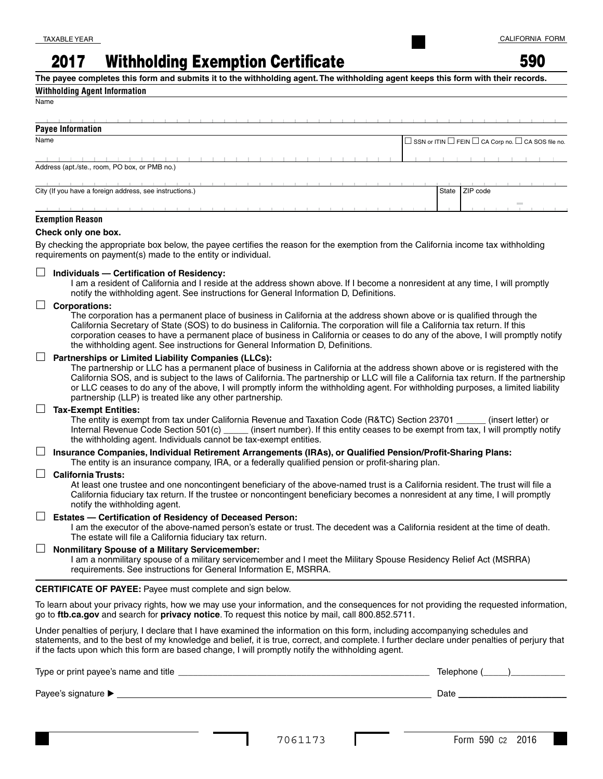# 2017 Withholding Exemption Certificate

**The payee completes this form and submits it to the withholding agent. The withholding agent keeps this form with their records.**

### **Withholding Agent Information**

| <b>Payee Information</b>                                |  |  |  |                                                                          |  |  |  |                |  |  |  |
|---------------------------------------------------------|--|--|--|--------------------------------------------------------------------------|--|--|--|----------------|--|--|--|
| Name                                                    |  |  |  | $\Box$ SSN or ITIN $\Box$ FEIN $\Box$ CA Corp no. $\Box$ CA SOS file no. |  |  |  |                |  |  |  |
|                                                         |  |  |  |                                                                          |  |  |  |                |  |  |  |
| Address (apt./ste., room, PO box, or PMB no.)           |  |  |  |                                                                          |  |  |  |                |  |  |  |
|                                                         |  |  |  |                                                                          |  |  |  |                |  |  |  |
| City (If you have a foreign address, see instructions.) |  |  |  |                                                                          |  |  |  | State ZIP code |  |  |  |
|                                                         |  |  |  |                                                                          |  |  |  |                |  |  |  |
| Formation Bennes                                        |  |  |  |                                                                          |  |  |  |                |  |  |  |

### **Exemption Reason**

#### **Check only one box.**

By checking the appropriate box below, the payee certifies the reason for the exemption from the California income tax withholding requirements on payment(s) made to the entity or individual.

#### **Individuals — Certification of Residency:**

 I am a resident of California and I reside at the address shown above. If I become a nonresident at any time, I will promptly notify the withholding agent. See instructions for General Information D, Definitions.

#### **Corporations:**

 The corporation has a permanent place of business in California at the address shown above or is qualified through the California Secretary of State (SOS) to do business in California. The corporation will file a California tax return. If this corporation ceases to have a permanent place of business in California or ceases to do any of the above, I will promptly notify the withholding agent. See instructions for General Information D, Definitions.

#### **Partnerships or Limited Liability Companies (LLCs):**

 The partnership or LLC has a permanent place of business in California at the address shown above or is registered with the California SOS, and is subject to the laws of California. The partnership or LLC will file a California tax return. If the partnership or LLC ceases to do any of the above, I will promptly inform the withholding agent. For withholding purposes, a limited liability partnership (LLP) is treated like any other partnership.

#### **Tax-Exempt Entities:**

 The entity is exempt from tax under California Revenue and Taxation Code (R&TC) Section 23701 \_\_\_\_\_\_ (insert letter) or Internal Revenue Code Section 501(c) \_\_\_\_\_ (insert number). If this entity ceases to be exempt from tax, I will promptly notify the withholding agent. Individuals cannot be tax-exempt entities.

### **Insurance Companies, Individual Retirement Arrangements (IRAs), or Qualified Pension/Profit-Sharing Plans:**

The entity is an insurance company, IRA, or a federally qualified pension or profit-sharing plan.

#### **California Trusts:**

 At least one trustee and one noncontingent beneficiary of the above-named trust is a California resident. The trust will file a California fiduciary tax return. If the trustee or noncontingent beneficiary becomes a nonresident at any time, I will promptly notify the withholding agent.

#### **Estates — Certification of Residency of Deceased Person:**

 I am the executor of the above-named person's estate or trust. The decedent was a California resident at the time of death. The estate will file a California fiduciary tax return.

#### **Nonmilitary Spouse of a Military Servicemember:**

I am a nonmilitary spouse of a military servicemember and I meet the Military Spouse Residency Relief Act (MSRRA) requirements. See instructions for General Information E, MSRRA.

**CERTIFICATE OF PAYEE:** Payee must complete and sign below.

To learn about your privacy rights, how we may use your information, and the consequences for not providing the requested information, go to **ftb.ca.gov** and search for **privacy notice**. To request this notice by mail, call 800.852.5711.

Under penalties of perjury, I declare that I have examined the information on this form, including accompanying schedules and statements, and to the best of my knowledge and belief, it is true, correct, and complete. I further declare under penalties of perjury that if the facts upon which this form are based change, I will promptly notify the withholding agent.

| Type or print payee's name and title | Telephone ( |
|--------------------------------------|-------------|
| Payee's signature ▶                  | Date        |
|                                      |             |
|                                      |             |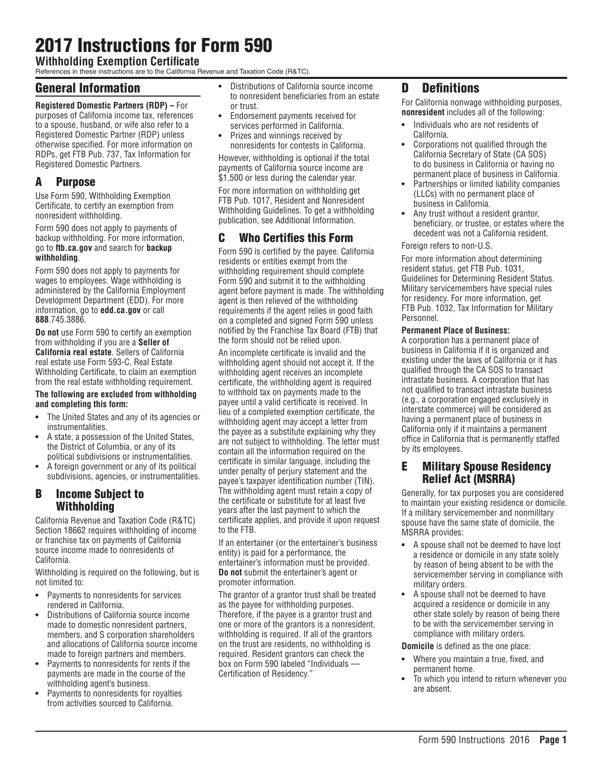# 2017 Instructions for Form 590

**Withholding Exemption Certificate**

References in these instructions are to the California Revenue and Taxation Code (R&TC).

## General Information

### **Registered Domestic Partners (RDP) –** For

purposes of California income tax, references to a spouse, husband, or wife also refer to a Registered Domestic Partner (RDP) unless otherwise specified. For more information on RDPs, get FTB Pub. 737, Tax Information for Registered Domestic Partners.

# A Purpose

Use Form 590, Withholding Exemption Certificate, to certify an exemption from nonresident withholding.

Form 590 does not apply to payments of backup withholding. For more information, go to **ftb.ca.gov** and search for **backup withholding**.

Form 590 does not apply to payments for wages to employees. Wage withholding is administered by the California Employment Development Department (EDD). For more information, go to **edd.ca.gov** or call **888**.745.3886.

**Do not** use Form 590 to certify an exemption from withholding if you are a **Seller of California real estate**. Sellers of California real estate use Form 593-C, Real Estate Withholding Certificate, to claim an exemption from the real estate withholding requirement.

#### **The following are excluded from withholding and completing this form:**

- **•** The United States and any of its agencies or instrumentalities.
- **•** A state, a possession of the United States, the District of Columbia, or any of its political subdivisions or instrumentalities.
- **•** A foreign government or any of its political subdivisions, agencies, or instrumentalities.

# B Income Subject to Withholding

California Revenue and Taxation Code (R&TC) Section 18662 requires withholding of income or franchise tax on payments of California source income made to nonresidents of California.

Withholding is required on the following, but is not limited to:

- **•** Payments to nonresidents for services rendered in California.
- **•** Distributions of California source income made to domestic nonresident partners, members, and S corporation shareholders and allocations of California source income made to foreign partners and members.
- **•** Payments to nonresidents for rents if the payments are made in the course of the withholding agent's business.
- **•** Payments to nonresidents for royalties from activities sourced to California.
- **•** Distributions of California source income to nonresident beneficiaries from an estate or trust.
- **•** Endorsement payments received for services performed in California.
- **•** Prizes and winnings received by nonresidents for contests in California.

However, withholding is optional if the total payments of California source income are \$1,500 or less during the calendar year.

For more information on withholding get FTB Pub. 1017, Resident and Nonresident Withholding Guidelines. To get a withholding publication, see Additional Information.

# C Who Certifies this Form

Form 590 is certified by the payee. California residents or entities exempt from the withholding requirement should complete Form 590 and submit it to the withholding agent before payment is made. The withholding agent is then relieved of the withholding requirements if the agent relies in good faith on a completed and signed Form 590 unless notified by the Franchise Tax Board (FTB) that the form should not be relied upon.

An incomplete certificate is invalid and the withholding agent should not accept it. If the withholding agent receives an incomplete certificate, the withholding agent is required to withhold tax on payments made to the payee until a valid certificate is received. In lieu of a completed exemption certificate, the withholding agent may accept a letter from the payee as a substitute explaining why they are not subject to withholding. The letter must contain all the information required on the certificate in similar language, including the under penalty of perjury statement and the payee's taxpayer identification number (TIN). The withholding agent must retain a copy of the certificate or substitute for at least five years after the last payment to which the certificate applies, and provide it upon request to the FTB.

If an entertainer (or the entertainer's business entity) is paid for a performance, the entertainer's information must be provided. **Do not** submit the entertainer's agent or promoter information.

The grantor of a grantor trust shall be treated as the payee for withholding purposes. Therefore, if the payee is a grantor trust and one or more of the grantors is a nonresident, withholding is required. If all of the grantors on the trust are residents, no withholding is required. Resident grantors can check the box on Form 590 labeled "Individuals — Certification of Residency."

# D Definitions

For California nonwage withholding purposes, **nonresident** includes all of the following:

- **•** Individuals who are not residents of California.
- **•** Corporations not qualified through the California Secretary of State (CA SOS) to do business in California or having no permanent place of business in California.
- **•** Partnerships or limited liability companies (LLCs) with no permanent place of business in California.
- **•** Any trust without a resident grantor, beneficiary, or trustee, or estates where the decedent was not a California resident.

### Foreign refers to non-U.S.

For more information about determining resident status, get FTB Pub. 1031, Guidelines for Determining Resident Status. Military servicemembers have special rules for residency. For more information, get FTB Pub. 1032, Tax Information for Military Personnel.

### **Permanent Place of Business:**

A corporation has a permanent place of business in California if it is organized and existing under the laws of California or it has qualified through the CA SOS to transact intrastate business. A corporation that has not qualified to transact intrastate business (e.g., a corporation engaged exclusively in interstate commerce) will be considered as having a permanent place of business in California only if it maintains a permanent office in California that is permanently staffed by its employees.

## E Military Spouse Residency Relief Act (MSRRA)

Generally, for tax purposes you are considered to maintain your existing residence or domicile. If a military servicemember and nonmilitary spouse have the same state of domicile, the MSRRA provides:

- **•** A spouse shall not be deemed to have lost a residence or domicile in any state solely by reason of being absent to be with the servicemember serving in compliance with military orders.
- **•** A spouse shall not be deemed to have acquired a residence or domicile in any other state solely by reason of being there to be with the servicemember serving in compliance with military orders.

**Domicile** is defined as the one place:

- **•** Where you maintain a true, fixed, and permanent home.
- **•** To which you intend to return whenever you are absent.